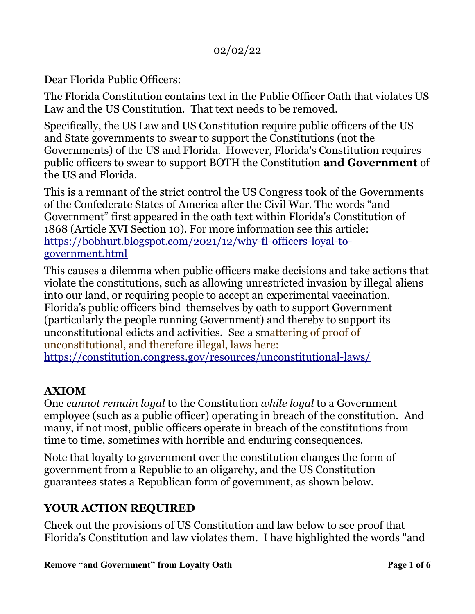Dear Florida Public Officers:

The Florida Constitution contains text in the Public Officer Oath that violates US Law and the US Constitution. That text needs to be removed.

Specifically, the US Law and US Constitution require public officers of the US and State governments to swear to support the Constitutions (not the Governments) of the US and Florida. However, Florida's Constitution requires public officers to swear to support BOTH the Constitution **and Government** of the US and Florida.

This is a remnant of the strict control the US Congress took of the Governments of the Confederate States of America after the Civil War. The words "and Government" first appeared in the oath text within Florida's Constitution of 1868 (Article XVI Section 10). For more information see this article: [https://bobhurt.blogspot.com/2021/12/why-fl-officers-loyal-to](https://bobhurt.blogspot.com/2021/12/why-fl-officers-loyal-to-government.html)[government.html](https://bobhurt.blogspot.com/2021/12/why-fl-officers-loyal-to-government.html)

This causes a dilemma when public officers make decisions and take actions that violate the constitutions, such as allowing unrestricted invasion by illegal aliens into our land, or requiring people to accept an experimental vaccination. Florida's public officers bind themselves by oath to support Government (particularly the people running Government) and thereby to support its unconstitutional edicts and activities. See a smattering of proof of unconstitutional, and therefore illegal, laws here: <https://constitution.congress.gov/resources/unconstitutional-laws/>

#### **AXIOM**

One *cannot remain loyal* to the Constitution *while loyal* to a Government employee (such as a public officer) operating in breach of the constitution. And many, if not most, public officers operate in breach of the constitutions from time to time, sometimes with horrible and enduring consequences.

Note that loyalty to government over the constitution changes the form of government from a Republic to an oligarchy, and the US Constitution guarantees states a Republican form of government, as shown below.

# **YOUR ACTION REQUIRED**

Check out the provisions of US Constitution and law below to see proof that Florida's Constitution and law violates them. I have highlighted the words "and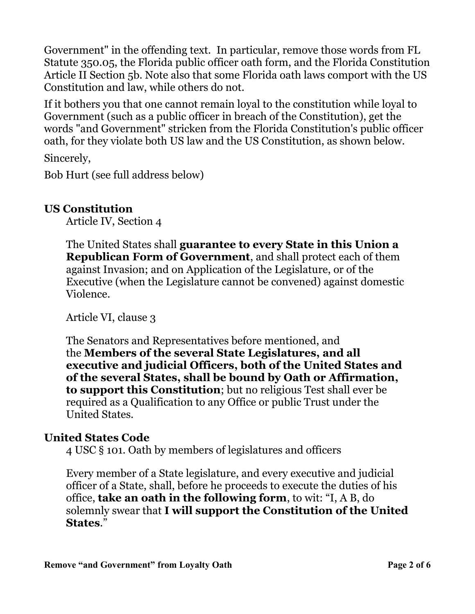Government" in the offending text. In particular, remove those words from FL Statute 350.05, the Florida public officer oath form, and the Florida Constitution Article II Section 5b. Note also that some Florida oath laws comport with the US Constitution and law, while others do not.

If it bothers you that one cannot remain loyal to the constitution while loyal to Government (such as a public officer in breach of the Constitution), get the words "and Government" stricken from the Florida Constitution's public officer oath, for they violate both US law and the US Constitution, as shown below.

Sincerely,

Bob Hurt (see full address below)

#### **US Constitution**

Article IV, Section 4

The United States shall **guarantee to every State in this Union a Republican Form of Government**, and shall protect each of them against Invasion; and on Application of the Legislature, or of the Executive (when the Legislature cannot be convened) against domestic Violence.

Article VI, clause 3

The Senators and Representatives before mentioned, and the **Members of the several State Legislatures, and all executive and judicial Officers, both of the United States and of the several States, shall be bound by Oath or Affirmation, to support this Constitution**; but no religious Test shall ever be required as a Qualification to any Office or public Trust under the United States.

#### **United States Code**

4 USC § 101. Oath by members of legislatures and officers

Every member of a State legislature, and every executive and judicial officer of a State, shall, before he proceeds to execute the duties of his office, **take an oath in the following form**, to wit: "I, A B, do solemnly swear that **I will support the Constitution of the United States**."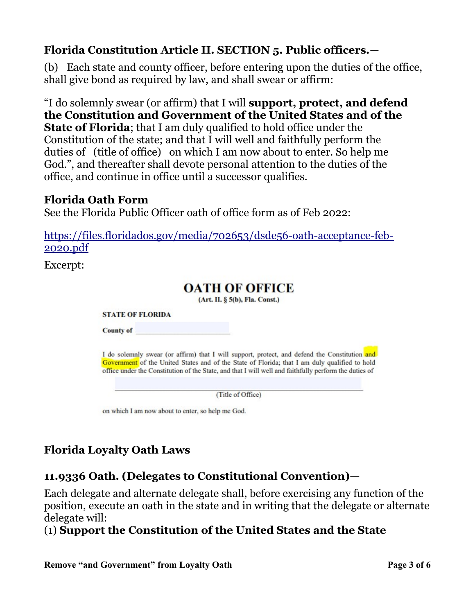# **Florida Constitution Article II. SECTION 5. Public officers.**—

(b) Each state and county officer, before entering upon the duties of the office, shall give bond as required by law, and shall swear or affirm:

"I do solemnly swear (or affirm) that I will **support, protect, and defend the Constitution and Government of the United States and of the State of Florida**; that I am duly qualified to hold office under the Constitution of the state; and that I will well and faithfully perform the duties of (title of office) on which I am now about to enter. So help me God.", and thereafter shall devote personal attention to the duties of the office, and continue in office until a successor qualifies.

#### **Florida Oath Form**

See the Florida Public Officer oath of office form as of Feb 2022:

[https://files.floridados.gov/media/702653/dsde56-oath-acceptance-feb-](https://files.floridados.gov/media/702653/dsde56-oath-acceptance-feb-2020.pdf)[2020.pdf](https://files.floridados.gov/media/702653/dsde56-oath-acceptance-feb-2020.pdf)

Excerpt:

# **OATH OF OFFICE** (Art. II. § 5(b), Fla. Const.) **STATE OF FLORIDA County of** I do solemnly swear (or affirm) that I will support, protect, and defend the Constitution and Government of the United States and of the State of Florida; that I am duly qualified to hold office under the Constitution of the State, and that I will well and faithfully perform the duties of (Title of Office) on which I am now about to enter, so help me God.

# **Florida Loyalty Oath Laws**

# **11.9336 Oath. (Delegates to Constitutional Convention)—**

Each delegate and alternate delegate shall, before exercising any function of the position, execute an oath in the state and in writing that the delegate or alternate delegate will:

#### (1) **Support the Constitution of the United States and the State**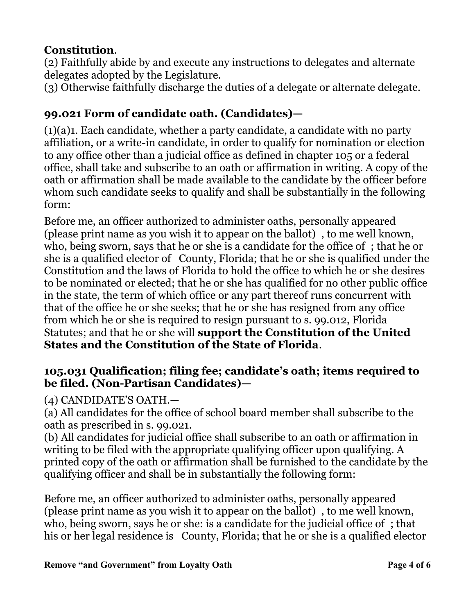### **Constitution**.

(2) Faithfully abide by and execute any instructions to delegates and alternate delegates adopted by the Legislature.

(3) Otherwise faithfully discharge the duties of a delegate or alternate delegate.

# **99.021 Form of candidate oath. (Candidates)—**

(1)(a)1. Each candidate, whether a party candidate, a candidate with no party affiliation, or a write-in candidate, in order to qualify for nomination or election to any office other than a judicial office as defined in chapter 105 or a federal office, shall take and subscribe to an oath or affirmation in writing. A copy of the oath or affirmation shall be made available to the candidate by the officer before whom such candidate seeks to qualify and shall be substantially in the following form:

Before me, an officer authorized to administer oaths, personally appeared (please print name as you wish it to appear on the ballot) , to me well known, who, being sworn, says that he or she is a candidate for the office of ; that he or she is a qualified elector of County, Florida; that he or she is qualified under the Constitution and the laws of Florida to hold the office to which he or she desires to be nominated or elected; that he or she has qualified for no other public office in the state, the term of which office or any part thereof runs concurrent with that of the office he or she seeks; that he or she has resigned from any office from which he or she is required to resign pursuant to s. 99.012, Florida Statutes; and that he or she will **support the Constitution of the United States and the Constitution of the State of Florida**.

#### **105.031 Qualification; filing fee; candidate's oath; items required to be filed. (Non-Partisan Candidates)—**

#### (4) CANDIDATE'S OATH.—

(a) All candidates for the office of school board member shall subscribe to the oath as prescribed in s. 99.021.

(b) All candidates for judicial office shall subscribe to an oath or affirmation in writing to be filed with the appropriate qualifying officer upon qualifying. A printed copy of the oath or affirmation shall be furnished to the candidate by the qualifying officer and shall be in substantially the following form:

Before me, an officer authorized to administer oaths, personally appeared (please print name as you wish it to appear on the ballot) , to me well known, who, being sworn, says he or she: is a candidate for the judicial office of ; that his or her legal residence is County, Florida; that he or she is a qualified elector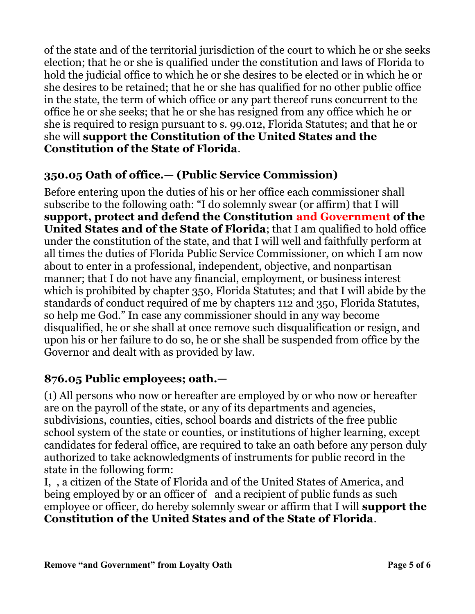of the state and of the territorial jurisdiction of the court to which he or she seeks election; that he or she is qualified under the constitution and laws of Florida to hold the judicial office to which he or she desires to be elected or in which he or she desires to be retained; that he or she has qualified for no other public office in the state, the term of which office or any part thereof runs concurrent to the office he or she seeks; that he or she has resigned from any office which he or she is required to resign pursuant to s. 99.012, Florida Statutes; and that he or she will **support the Constitution of the United States and the Constitution of the State of Florida**.

#### **350.05 Oath of office.— (Public Service Commission)**

Before entering upon the duties of his or her office each commissioner shall subscribe to the following oath: "I do solemnly swear (or affirm) that I will **support, protect and defend the Constitution and Government of the United States and of the State of Florida**; that I am qualified to hold office under the constitution of the state, and that I will well and faithfully perform at all times the duties of Florida Public Service Commissioner, on which I am now about to enter in a professional, independent, objective, and nonpartisan manner; that I do not have any financial, employment, or business interest which is prohibited by chapter 350, Florida Statutes; and that I will abide by the standards of conduct required of me by chapters 112 and 350, Florida Statutes, so help me God." In case any commissioner should in any way become disqualified, he or she shall at once remove such disqualification or resign, and upon his or her failure to do so, he or she shall be suspended from office by the Governor and dealt with as provided by law.

# **876.05 Public employees; oath.—**

(1) All persons who now or hereafter are employed by or who now or hereafter are on the payroll of the state, or any of its departments and agencies, subdivisions, counties, cities, school boards and districts of the free public school system of the state or counties, or institutions of higher learning, except candidates for federal office, are required to take an oath before any person duly authorized to take acknowledgments of instruments for public record in the state in the following form:

I, , a citizen of the State of Florida and of the United States of America, and being employed by or an officer of and a recipient of public funds as such employee or officer, do hereby solemnly swear or affirm that I will **support the Constitution of the United States and of the State of Florida**.